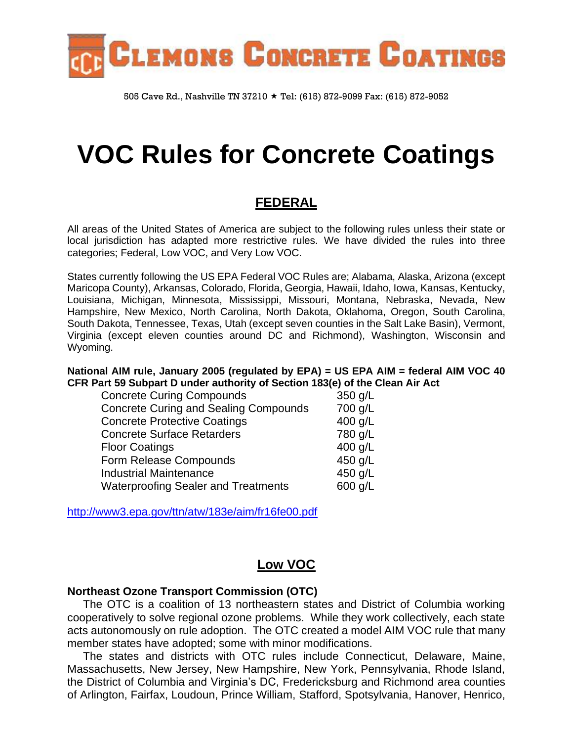

505 Cave Rd., Nashville TN 37210 ★ Tel: (615) 872-9099 Fax: (615) 872-9052

# **VOC Rules for Concrete Coatings**

# **FEDERAL**

All areas of the United States of America are subject to the following rules unless their state or local jurisdiction has adapted more restrictive rules. We have divided the rules into three categories; Federal, Low VOC, and Very Low VOC.

States currently following the US EPA Federal VOC Rules are; Alabama, Alaska, Arizona (except Maricopa County), Arkansas, Colorado, Florida, Georgia, Hawaii, Idaho, Iowa, Kansas, Kentucky, Louisiana, Michigan, Minnesota, Mississippi, Missouri, Montana, Nebraska, Nevada, New Hampshire, New Mexico, North Carolina, North Dakota, Oklahoma, Oregon, South Carolina, South Dakota, Tennessee, Texas, Utah (except seven counties in the Salt Lake Basin), Vermont, Virginia (except eleven counties around DC and Richmond), Washington, Wisconsin and Wyoming.

**National AIM rule, January 2005 (regulated by EPA) = US EPA AIM = federal AIM VOC 40 CFR Part 59 Subpart D under authority of Section 183(e) of the Clean Air Act**

| <b>Concrete Curing Compounds</b>             | 350 g/L |
|----------------------------------------------|---------|
| <b>Concrete Curing and Sealing Compounds</b> | 700 g/L |
| <b>Concrete Protective Coatings</b>          | 400 g/L |
| <b>Concrete Surface Retarders</b>            | 780 g/L |
| <b>Floor Coatings</b>                        | 400 g/L |
| Form Release Compounds                       | 450 g/L |
| <b>Industrial Maintenance</b>                | 450 g/L |
| <b>Waterproofing Sealer and Treatments</b>   | 600 g/L |

<http://www3.epa.gov/ttn/atw/183e/aim/fr16fe00.pdf>

# **Low VOC**

### **Northeast Ozone Transport Commission (OTC)**

 The OTC is a coalition of 13 northeastern states and District of Columbia working cooperatively to solve regional ozone problems. While they work collectively, each state acts autonomously on rule adoption. The OTC created a model AIM VOC rule that many member states have adopted; some with minor modifications.

 The states and districts with OTC rules include Connecticut, Delaware, Maine, Massachusetts, New Jersey, New Hampshire, New York, Pennsylvania, Rhode Island, the District of Columbia and Virginia's DC, Fredericksburg and Richmond area counties of Arlington, Fairfax, Loudoun, Prince William, Stafford, Spotsylvania, Hanover, Henrico,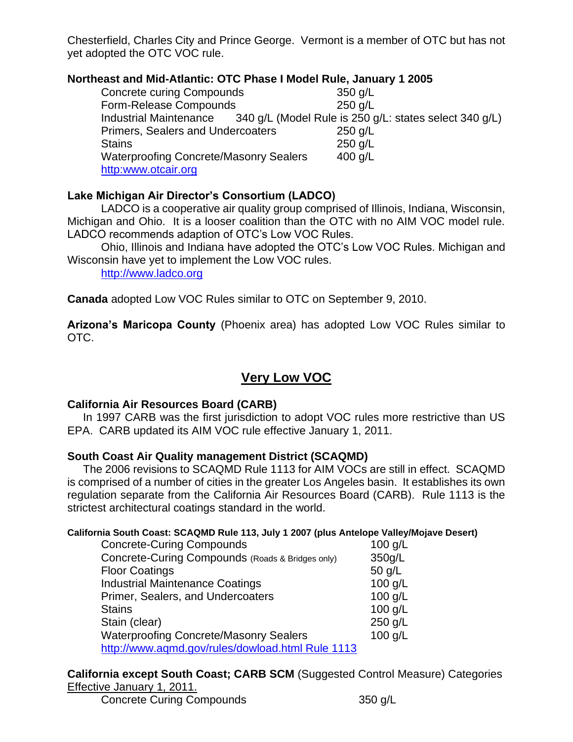Chesterfield, Charles City and Prince George. Vermont is a member of OTC but has not yet adopted the OTC VOC rule.

## **Northeast and Mid-Atlantic: OTC Phase I Model Rule, January 1 2005**

Concrete curing Compounds 350 g/L Form-Release Compounds 250 g/L Industrial Maintenance 340 g/L (Model Rule is 250 g/L: states select 340 g/L) Primers, Sealers and Undercoaters 250 g/L Stains 250 g/L Waterproofing Concrete/Masonry Sealers 400 g/L http:www.otcair.org

## **Lake Michigan Air Director's Consortium (LADCO)**

LADCO is a cooperative air quality group comprised of Illinois, Indiana, Wisconsin, Michigan and Ohio. It is a looser coalition than the OTC with no AIM VOC model rule. LADCO recommends adaption of OTC's Low VOC Rules.

Ohio, Illinois and Indiana have adopted the OTC's Low VOC Rules. Michigan and Wisconsin have yet to implement the Low VOC rules.

[http://www.ladco.org](http://www.ladco.org/)

**Canada** adopted Low VOC Rules similar to OTC on September 9, 2010.

**Arizona's Maricopa County** (Phoenix area) has adopted Low VOC Rules similar to OTC.

# **Very Low VOC**

## **California Air Resources Board (CARB)**

 In 1997 CARB was the first jurisdiction to adopt VOC rules more restrictive than US EPA. CARB updated its AIM VOC rule effective January 1, 2011.

## **South Coast Air Quality management District (SCAQMD)**

 The 2006 revisions to SCAQMD Rule 1113 for AIM VOCs are still in effect. SCAQMD is comprised of a number of cities in the greater Los Angeles basin. It establishes its own regulation separate from the California Air Resources Board (CARB). Rule 1113 is the strictest architectural coatings standard in the world.

### **California South Coast: SCAQMD Rule 113, July 1 2007 (plus Antelope Valley/Mojave Desert)**

| <b>Concrete-Curing Compounds</b>                 | $100$ g/L |
|--------------------------------------------------|-----------|
| Concrete-Curing Compounds (Roads & Bridges only) | 350g/L    |
| <b>Floor Coatings</b>                            | $50$ g/L  |
| <b>Industrial Maintenance Coatings</b>           | 100 g/L   |
| Primer, Sealers, and Undercoaters                | $100$ g/L |
| <b>Stains</b>                                    | $100$ g/L |
| Stain (clear)                                    | 250 g/L   |
| <b>Waterproofing Concrete/Masonry Sealers</b>    | 100 g/L   |
| http://www.aqmd.gov/rules/dowload.html Rule 1113 |           |

**California except South Coast; CARB SCM** (Suggested Control Measure) Categories Effective January 1, 2011.

Concrete Curing Compounds 350 g/L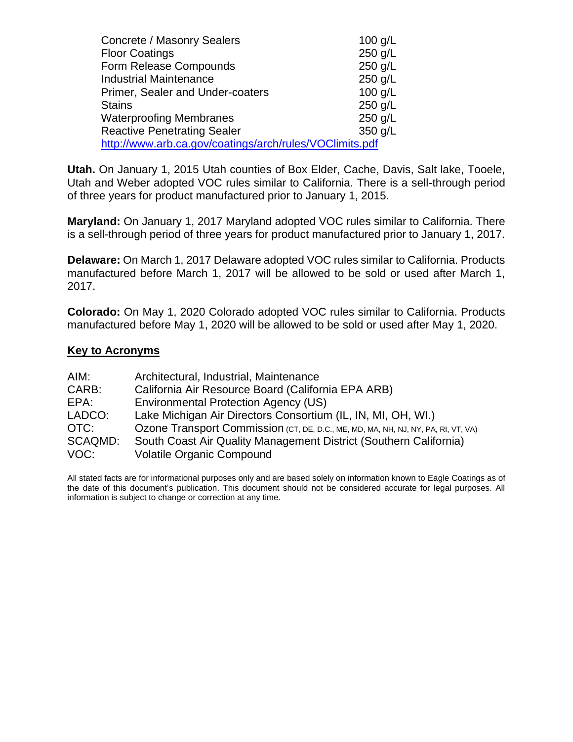| Concrete / Masonry Sealers                              | 100 $g/L$ |
|---------------------------------------------------------|-----------|
| <b>Floor Coatings</b>                                   | 250 g/L   |
| Form Release Compounds                                  | 250 g/L   |
| <b>Industrial Maintenance</b>                           | 250 g/L   |
| Primer, Sealer and Under-coaters                        | $100$ g/L |
| <b>Stains</b>                                           | 250 g/L   |
| <b>Waterproofing Membranes</b>                          | 250 g/L   |
| <b>Reactive Penetrating Sealer</b>                      | 350 g/L   |
| http://www.arb.ca.gov/coatings/arch/rules/VOClimits.pdf |           |

**Utah.** On January 1, 2015 Utah counties of Box Elder, Cache, Davis, Salt lake, Tooele, Utah and Weber adopted VOC rules similar to California. There is a sell-through period of three years for product manufactured prior to January 1, 2015.

**Maryland:** On January 1, 2017 Maryland adopted VOC rules similar to California. There is a sell-through period of three years for product manufactured prior to January 1, 2017.

**Delaware:** On March 1, 2017 Delaware adopted VOC rules similar to California. Products manufactured before March 1, 2017 will be allowed to be sold or used after March 1, 2017.

**Colorado:** On May 1, 2020 Colorado adopted VOC rules similar to California. Products manufactured before May 1, 2020 will be allowed to be sold or used after May 1, 2020.

#### **Key to Acronyms**

| AIM:    | Architectural, Industrial, Maintenance                                            |
|---------|-----------------------------------------------------------------------------------|
| CARB:   | California Air Resource Board (California EPA ARB)                                |
| EPA:    | <b>Environmental Protection Agency (US)</b>                                       |
| LADCO:  | Lake Michigan Air Directors Consortium (IL, IN, MI, OH, WI.)                      |
| OTC:    | Ozone Transport Commission (CT, DE, D.C., ME, MD, MA, NH, NJ, NY, PA, RI, VT, VA) |
| SCAQMD: | South Coast Air Quality Management District (Southern California)                 |
| VOC:    | Volatile Organic Compound                                                         |

All stated facts are for informational purposes only and are based solely on information known to Eagle Coatings as of the date of this document's publication. This document should not be considered accurate for legal purposes. All information is subject to change or correction at any time.